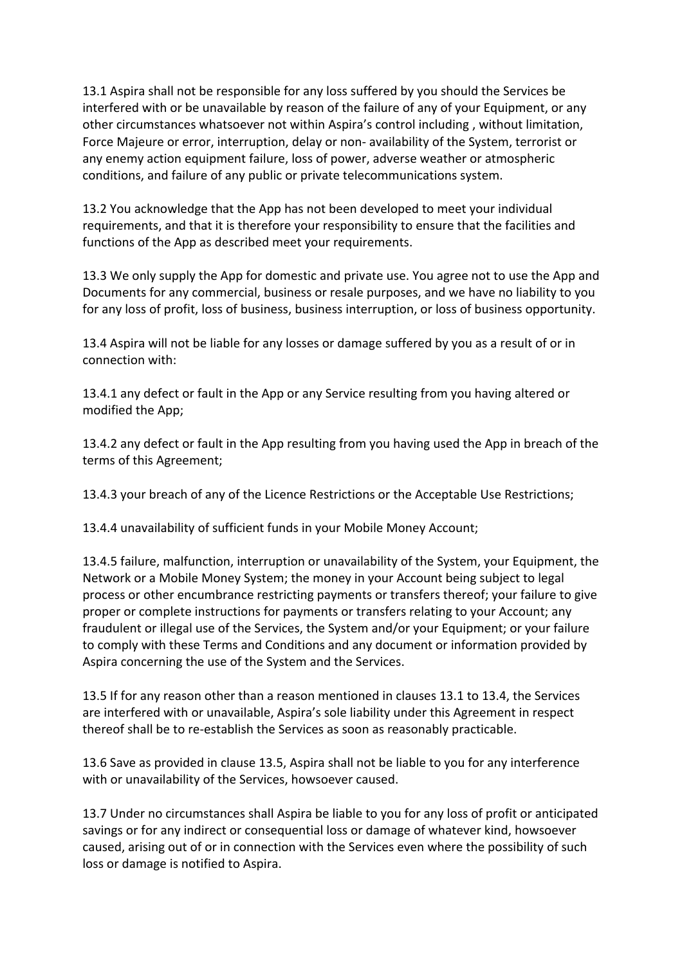13.1 Aspira shall not be responsible for any loss suffered by you should the Services be interfered with or be unavailable by reason of the failure of any of your Equipment, or any other circumstances whatsoever not within Aspira's control including , without limitation, Force Majeure or error, interruption, delay or non- availability of the System, terrorist or any enemy action equipment failure, loss of power, adverse weather or atmospheric conditions, and failure of any public or private telecommunications system.

13.2 You acknowledge that the App has not been developed to meet your individual requirements, and that it is therefore your responsibility to ensure that the facilities and functions of the App as described meet your requirements.

13.3 We only supply the App for domestic and private use. You agree not to use the App and Documents for any commercial, business or resale purposes, and we have no liability to you for any loss of profit, loss of business, business interruption, or loss of business opportunity.

13.4 Aspira will not be liable for any losses or damage suffered by you as a result of or in connection with:

13.4.1 any defect or fault in the App or any Service resulting from you having altered or modified the App;

13.4.2 any defect or fault in the App resulting from you having used the App in breach of the terms of this Agreement;

13.4.3 your breach of any of the Licence Restrictions or the Acceptable Use Restrictions;

13.4.4 unavailability of sufficient funds in your Mobile Money Account;

13.4.5 failure, malfunction, interruption or unavailability of the System, your Equipment, the Network or a Mobile Money System; the money in your Account being subject to legal process or other encumbrance restricting payments or transfers thereof; your failure to give proper or complete instructions for payments or transfers relating to your Account; any fraudulent or illegal use of the Services, the System and/or your Equipment; or your failure to comply with these Terms and Conditions and any document or information provided by Aspira concerning the use of the System and the Services.

13.5 If for any reason other than a reason mentioned in clauses 13.1 to 13.4, the Services are interfered with or unavailable, Aspira's sole liability under this Agreement in respect thereof shall be to re-establish the Services as soon as reasonably practicable.

13.6 Save as provided in clause 13.5, Aspira shall not be liable to you for any interference with or unavailability of the Services, howsoever caused.

13.7 Under no circumstances shall Aspira be liable to you for any loss of profit or anticipated savings or for any indirect or consequential loss or damage of whatever kind, howsoever caused, arising out of or in connection with the Services even where the possibility of such loss or damage is notified to Aspira.